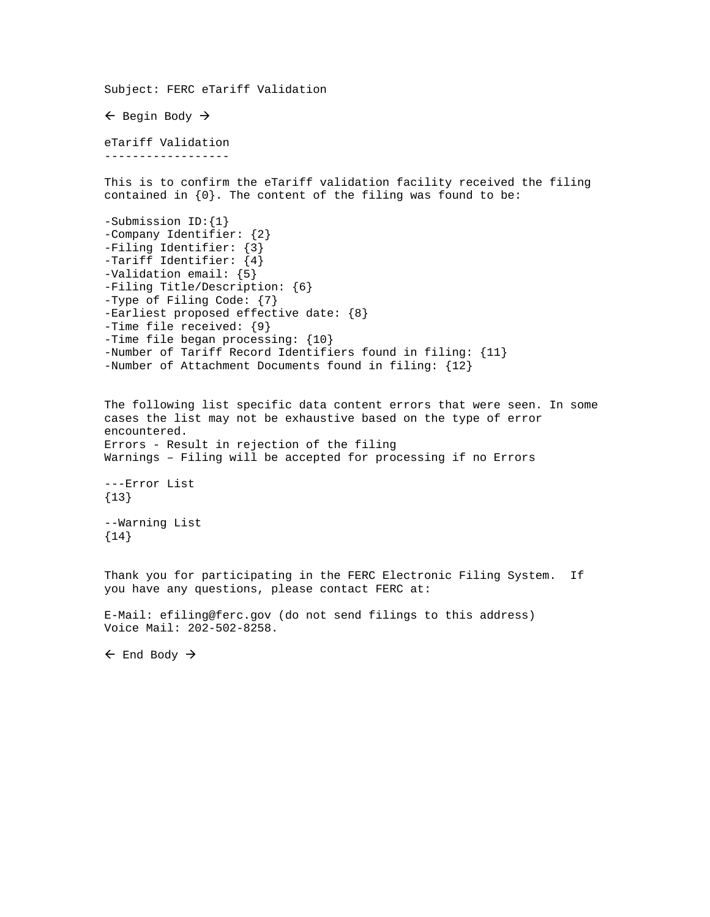```
Subject: FERC eTariff Validation 
\leftarrow Begin Body \rightarroweTariff Validation 
------------------ 
This is to confirm the eTariff validation facility received the filing 
contained in \{0\}. The content of the filing was found to be:
-Submission ID:{1} 
-Company Identifier: {2} 
-Filing Identifier: {3} 
-Tariff Identifier: {4} 
-Validation email: {5} 
-Filing Title/Description: {6} 
-Type of Filing Code: {7} 
-Earliest proposed effective date: {8} 
-Time file received: {9} 
-Time file began processing: {10} 
-Number of Tariff Record Identifiers found in filing: {11} 
-Number of Attachment Documents found in filing: {12} 
The following list specific data content errors that were seen. In some 
cases the list may not be exhaustive based on the type of error 
encountered. 
Errors - Result in rejection of the filing 
Warnings – Filing will be accepted for processing if no Errors 
---Error List 
{13}--Warning List 
{14} 
Thank you for participating in the FERC Electronic Filing System. If 
you have any questions, please contact FERC at: 
E-Mail: efiling@ferc.gov (do not send filings to this address) 
Voice Mail: 202-502-8258. 
\leftarrow End Body \rightarrow
```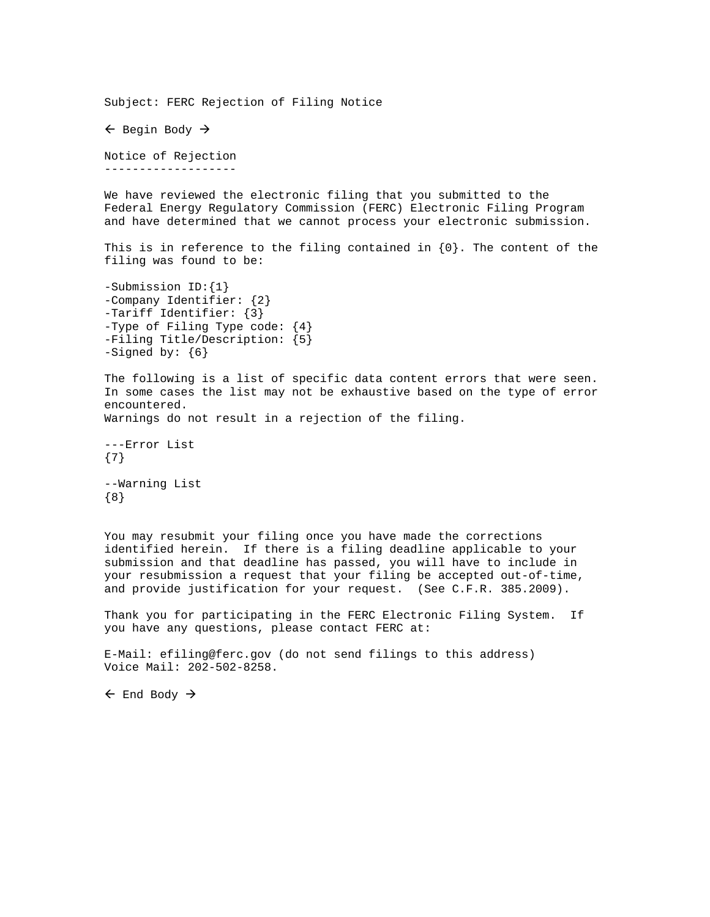Subject: FERC Rejection of Filing Notice  $\leftarrow$  Begin Body  $\rightarrow$ Notice of Rejection ------------------- We have reviewed the electronic filing that you submitted to the Federal Energy Regulatory Commission (FERC) Electronic Filing Program and have determined that we cannot process your electronic submission. This is in reference to the filing contained in  $\{0\}$ . The content of the filing was found to be: -Submission ID:{1} -Company Identifier: {2} -Tariff Identifier: {3} -Type of Filing Type code: {4} -Filing Title/Description: {5} -Signed by: {6} The following is a list of specific data content errors that were seen. In some cases the list may not be exhaustive based on the type of error encountered. Warnings do not result in a rejection of the filing. ---Error List {7} --Warning List {8}

You may resubmit your filing once you have made the corrections identified herein. If there is a filing deadline applicable to your submission and that deadline has passed, you will have to include in your resubmission a request that your filing be accepted out-of-time, and provide justification for your request. (See C.F.R. 385.2009).

Thank you for participating in the FERC Electronic Filing System. If you have any questions, please contact FERC at:

E-Mail: efiling@ferc.gov (do not send filings to this address) Voice Mail: 202-502-8258.

 $\leftarrow$  End Body  $\rightarrow$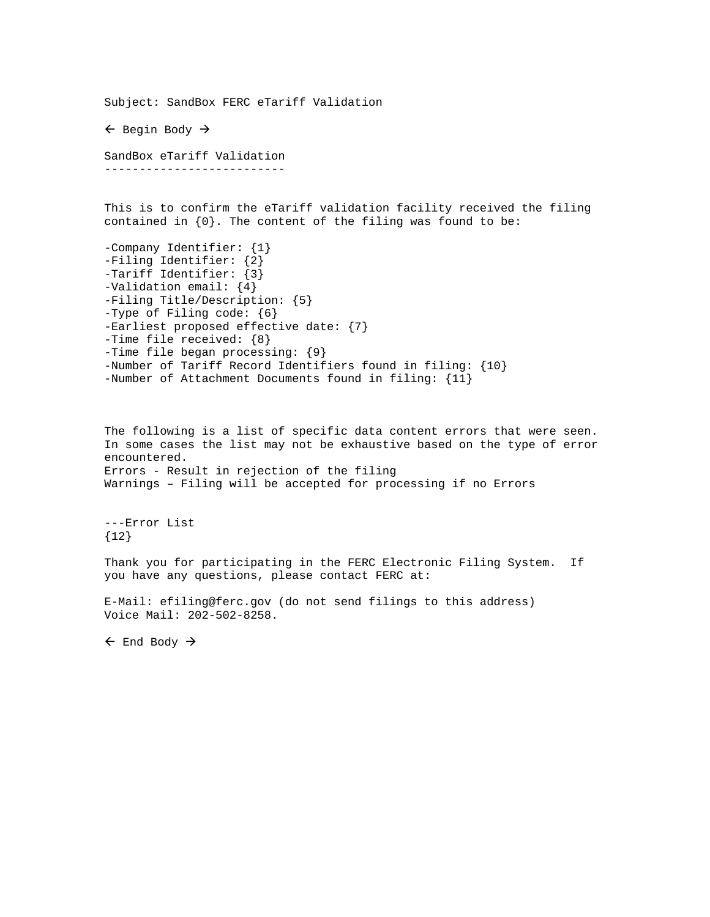Subject: SandBox FERC eTariff Validation  $\leftarrow$  Begin Body  $\rightarrow$ SandBox eTariff Validation -------------------------- This is to confirm the eTariff validation facility received the filing contained in  $\{0\}$ . The content of the filing was found to be: -Company Identifier: {1} -Filing Identifier: {2} -Tariff Identifier: {3} -Validation email: {4} -Filing Title/Description: {5} -Type of Filing code: {6} -Earliest proposed effective date: {7} -Time file received: {8} -Time file began processing: {9} -Number of Tariff Record Identifiers found in filing: {10} -Number of Attachment Documents found in filing: {11} The following is a list of specific data content errors that were seen. In some cases the list may not be exhaustive based on the type of error encountered. Errors - Result in rejection of the filing Warnings – Filing will be accepted for processing if no Errors ---Error List {12} Thank you for participating in the FERC Electronic Filing System. If you have any questions, please contact FERC at: E-Mail: efiling@ferc.gov (do not send filings to this address) Voice Mail: 202-502-8258.  $\leftarrow$  End Body  $\rightarrow$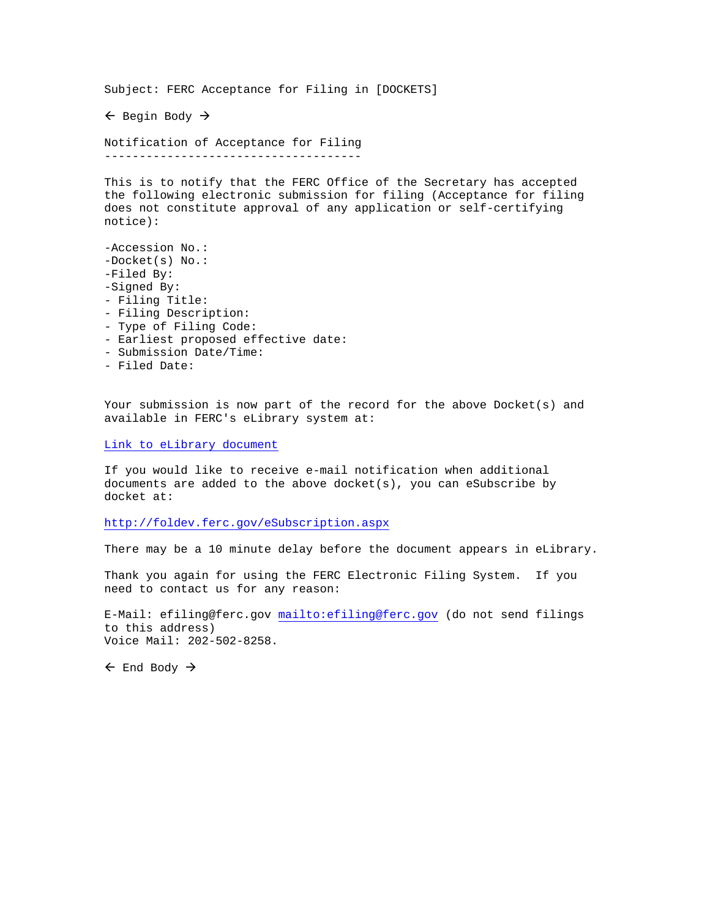Subject: FERC Acceptance for Filing in [DOCKETS]  $\leftarrow$  Begin Body  $\rightarrow$ Notification of Acceptance for Filing ------------------------------------- This is to notify that the FERC Office of the Secretary has accepted the following electronic submission for filing (Acceptance for filing does not constitute approval of any application or self-certifying notice): -Accession No.: -Docket(s) No.: -Filed By: -Signed By: - Filing Title: - Filing Description: - Type of Filing Code: - Earliest proposed effective date:

- Submission Date/Time:
- Filed Date:

Your submission is now part of the record for the above Docket(s) and available in FERC's eLibrary system at:

## Link to eLibrary document

If you would like to receive e-mail notification when additional documents are added to the above docket(s), you can eSubscribe by docket at:

## <http://foldev.ferc.gov/eSubscription.aspx>

There may be a 10 minute delay before the document appears in eLibrary.

Thank you again for using the FERC Electronic Filing System. If you need to contact us for any reason:

E-Mail: efiling@ferc.gov <mailto:efiling@ferc.gov> (do not send filings to this address) Voice Mail: 202-502-8258.

 $\leftarrow$  End Body  $\rightarrow$